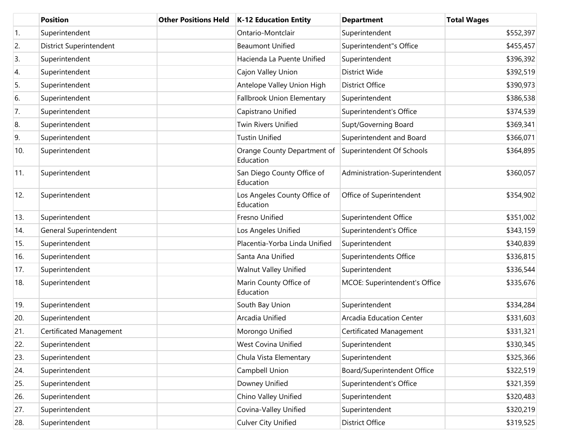|     | <b>Position</b>                | <b>Other Positions Held</b> | <b>K-12 Education Entity</b>              | <b>Department</b>             | <b>Total Wages</b> |
|-----|--------------------------------|-----------------------------|-------------------------------------------|-------------------------------|--------------------|
| 1.  | Superintendent                 |                             | Ontario-Montclair                         | Superintendent                | \$552,397          |
| 2.  | <b>District Superintendent</b> |                             | <b>Beaumont Unified</b>                   | Superintendent"s Office       | \$455,457          |
| 3.  | Superintendent                 |                             | Hacienda La Puente Unified                | Superintendent                | \$396,392          |
| 4.  | Superintendent                 |                             | Cajon Valley Union                        | District Wide                 | \$392,519          |
| 5.  | Superintendent                 |                             | Antelope Valley Union High                | <b>District Office</b>        | \$390,973          |
| 6.  | Superintendent                 |                             | Fallbrook Union Elementary                | Superintendent                | \$386,538          |
| 7.  | Superintendent                 |                             | Capistrano Unified                        | Superintendent's Office       | \$374,539          |
| 8.  | Superintendent                 |                             | Twin Rivers Unified                       | Supt/Governing Board          | \$369,341          |
| 9.  | Superintendent                 |                             | <b>Tustin Unified</b>                     | Superintendent and Board      | \$366,071          |
| 10. | Superintendent                 |                             | Orange County Department of<br>Education  | Superintendent Of Schools     | \$364,895          |
| 11. | Superintendent                 |                             | San Diego County Office of<br>Education   | Administration-Superintendent | \$360,057          |
| 12. | Superintendent                 |                             | Los Angeles County Office of<br>Education | Office of Superintendent      | \$354,902          |
| 13. | Superintendent                 |                             | Fresno Unified                            | Superintendent Office         | \$351,002          |
| 14. | General Superintendent         |                             | Los Angeles Unified                       | Superintendent's Office       | \$343,159          |
| 15. | Superintendent                 |                             | Placentia-Yorba Linda Unified             | Superintendent                | \$340,839          |
| 16. | Superintendent                 |                             | Santa Ana Unified                         | Superintendents Office        | \$336,815          |
| 17. | Superintendent                 |                             | <b>Walnut Valley Unified</b>              | Superintendent                | \$336,544          |
| 18. | Superintendent                 |                             | Marin County Office of<br>Education       | MCOE: Superintendent's Office | \$335,676          |
| 19. | Superintendent                 |                             | South Bay Union                           | Superintendent                | \$334,284          |
| 20. | Superintendent                 |                             | Arcadia Unified                           | Arcadia Education Center      | \$331,603          |
| 21. | Certificated Management        |                             | Morongo Unified                           | Certificated Management       | \$331,321          |
| 22. | Superintendent                 |                             | West Covina Unified                       | Superintendent                | \$330,345          |
| 23. | Superintendent                 |                             | Chula Vista Elementary                    | Superintendent                | \$325,366          |
| 24. | Superintendent                 |                             | Campbell Union                            | Board/Superintendent Office   | \$322,519          |
| 25. | Superintendent                 |                             | Downey Unified                            | Superintendent's Office       | \$321,359          |
| 26. | Superintendent                 |                             | Chino Valley Unified                      | Superintendent                | \$320,483          |
| 27. | Superintendent                 |                             | Covina-Valley Unified                     | Superintendent                | \$320,219          |
| 28. | Superintendent                 |                             | <b>Culver City Unified</b>                | <b>District Office</b>        | \$319,525          |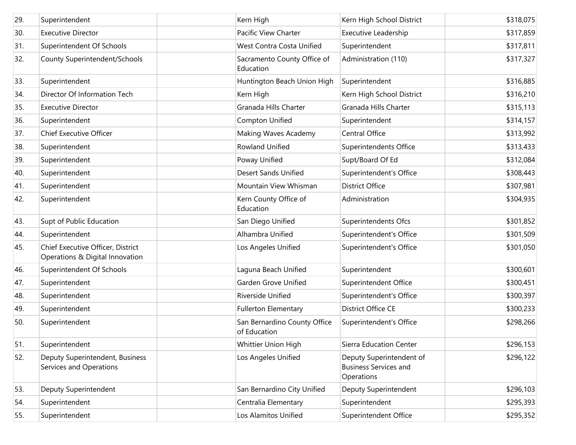| 29. | Superintendent                                                       | Kern High                                    | Kern High School District                                              | \$318,075 |
|-----|----------------------------------------------------------------------|----------------------------------------------|------------------------------------------------------------------------|-----------|
| 30. | <b>Executive Director</b>                                            | Pacific View Charter                         | Executive Leadership                                                   | \$317,859 |
| 31. | Superintendent Of Schools                                            | West Contra Costa Unified                    | Superintendent                                                         | \$317,811 |
| 32. | County Superintendent/Schools                                        | Sacramento County Office of<br>Education     | Administration (110)                                                   | \$317,327 |
| 33. | Superintendent                                                       | Huntington Beach Union High                  | Superintendent                                                         | \$316,885 |
| 34. | Director Of Information Tech                                         | Kern High                                    | Kern High School District                                              | \$316,210 |
| 35. | <b>Executive Director</b>                                            | Granada Hills Charter                        | Granada Hills Charter                                                  | \$315,113 |
| 36. | Superintendent                                                       | Compton Unified                              | Superintendent                                                         | \$314,157 |
| 37. | <b>Chief Executive Officer</b>                                       | Making Waves Academy                         | Central Office                                                         | \$313,992 |
| 38. | Superintendent                                                       | <b>Rowland Unified</b>                       | Superintendents Office                                                 | \$313,433 |
| 39. | Superintendent                                                       | Poway Unified                                | Supt/Board Of Ed                                                       | \$312,084 |
| 40. | Superintendent                                                       | <b>Desert Sands Unified</b>                  | Superintendent's Office                                                | \$308,443 |
| 41. | Superintendent                                                       | Mountain View Whisman                        | <b>District Office</b>                                                 | \$307,981 |
| 42. | Superintendent                                                       | Kern County Office of<br>Education           | Administration                                                         | \$304,935 |
| 43. | Supt of Public Education                                             | San Diego Unified                            | Superintendents Ofcs                                                   | \$301,852 |
| 44. | Superintendent                                                       | Alhambra Unified                             | Superintendent's Office                                                | \$301,509 |
| 45. | Chief Executive Officer, District<br>Operations & Digital Innovation | Los Angeles Unified                          | Superintendent's Office                                                | \$301,050 |
| 46. | Superintendent Of Schools                                            | Laguna Beach Unified                         | Superintendent                                                         | \$300,601 |
| 47. | Superintendent                                                       | Garden Grove Unified                         | Superintendent Office                                                  | \$300,451 |
| 48. | Superintendent                                                       | Riverside Unified                            | Superintendent's Office                                                | \$300,397 |
| 49. | Superintendent                                                       | <b>Fullerton Elementary</b>                  | District Office CE                                                     | \$300,233 |
| 50. | Superintendent                                                       | San Bernardino County Office<br>of Education | Superintendent's Office                                                | \$298,266 |
| 51. | Superintendent                                                       | Whittier Union High                          | Sierra Education Center                                                | \$296,153 |
| 52. | Deputy Superintendent, Business<br>Services and Operations           | Los Angeles Unified                          | Deputy Superintendent of<br><b>Business Services and</b><br>Operations | \$296,122 |
| 53. | Deputy Superintendent                                                | San Bernardino City Unified                  | Deputy Superintendent                                                  | \$296,103 |
| 54. | Superintendent                                                       | Centralia Elementary                         | Superintendent                                                         | \$295,393 |
| 55. | Superintendent                                                       | Los Alamitos Unified                         | Superintendent Office                                                  | \$295,352 |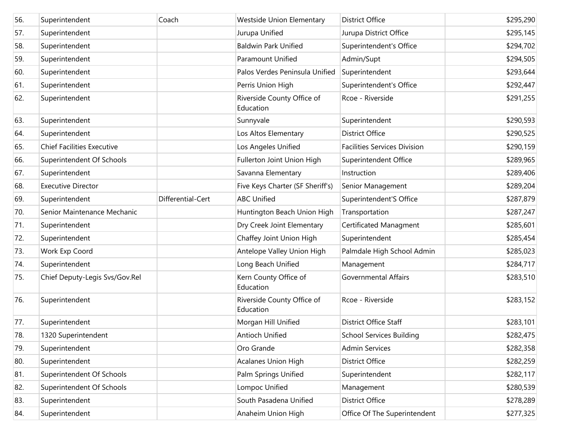| 56. | Superintendent                    | Coach             | <b>Westside Union Elementary</b>        | <b>District Office</b>              | \$295,290 |
|-----|-----------------------------------|-------------------|-----------------------------------------|-------------------------------------|-----------|
| 57. | Superintendent                    |                   | Jurupa Unified                          | Jurupa District Office              | \$295,145 |
| 58. | Superintendent                    |                   | <b>Baldwin Park Unified</b>             | Superintendent's Office             | \$294,702 |
| 59. | Superintendent                    |                   | Paramount Unified                       | Admin/Supt                          | \$294,505 |
| 60. | Superintendent                    |                   | Palos Verdes Peninsula Unified          | Superintendent                      | \$293,644 |
| 61. | Superintendent                    |                   | Perris Union High                       | Superintendent's Office             | \$292,447 |
| 62. | Superintendent                    |                   | Riverside County Office of<br>Education | Rcoe - Riverside                    | \$291,255 |
| 63. | Superintendent                    |                   | Sunnyvale                               | Superintendent                      | \$290,593 |
| 64. | Superintendent                    |                   | Los Altos Elementary                    | <b>District Office</b>              | \$290,525 |
| 65. | <b>Chief Facilities Executive</b> |                   | Los Angeles Unified                     | <b>Facilities Services Division</b> | \$290,159 |
| 66. | Superintendent Of Schools         |                   | Fullerton Joint Union High              | Superintendent Office               | \$289,965 |
| 67. | Superintendent                    |                   | Savanna Elementary                      | Instruction                         | \$289,406 |
| 68. | <b>Executive Director</b>         |                   | Five Keys Charter (SF Sheriff's)        | Senior Management                   | \$289,204 |
| 69. | Superintendent                    | Differential-Cert | <b>ABC Unified</b>                      | Superintendent'S Office             | \$287,879 |
| 70. | Senior Maintenance Mechanic       |                   | Huntington Beach Union High             | Transportation                      | \$287,247 |
| 71. | Superintendent                    |                   | Dry Creek Joint Elementary              | Certificated Managment              | \$285,601 |
| 72. | Superintendent                    |                   | Chaffey Joint Union High                | Superintendent                      | \$285,454 |
| 73. | Work Exp Coord                    |                   | Antelope Valley Union High              | Palmdale High School Admin          | \$285,023 |
| 74. | Superintendent                    |                   | Long Beach Unified                      | Management                          | \$284,717 |
| 75. | Chief Deputy-Legis Svs/Gov.Rel    |                   | Kern County Office of<br>Education      | <b>Governmental Affairs</b>         | \$283,510 |
| 76. | Superintendent                    |                   | Riverside County Office of<br>Education | Rcoe - Riverside                    | \$283,152 |
| 77. | Superintendent                    |                   | Morgan Hill Unified                     | <b>District Office Staff</b>        | \$283,101 |
| 78. | 1320 Superintendent               |                   | Antioch Unified                         | <b>School Services Building</b>     | \$282,475 |
| 79. | Superintendent                    |                   | Oro Grande                              | <b>Admin Services</b>               | \$282,358 |
| 80. | Superintendent                    |                   | Acalanes Union High                     | <b>District Office</b>              | \$282,259 |
| 81. | Superintendent Of Schools         |                   | Palm Springs Unified                    | Superintendent                      | \$282,117 |
| 82. | Superintendent Of Schools         |                   | Lompoc Unified                          | Management                          | \$280,539 |
| 83. | Superintendent                    |                   | South Pasadena Unified                  | <b>District Office</b>              | \$278,289 |
| 84. | Superintendent                    |                   | Anaheim Union High                      | Office Of The Superintendent        | \$277,325 |